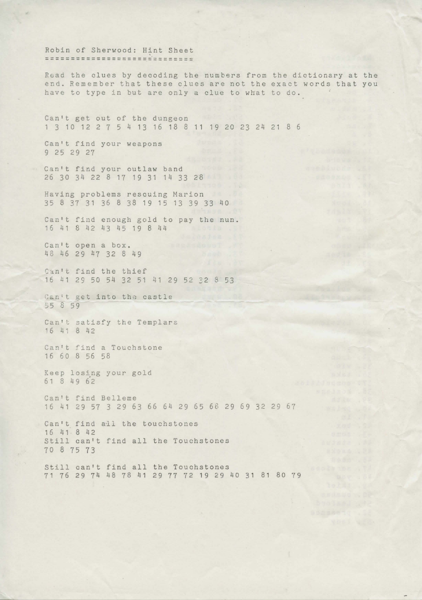Robin of Sherwood: Hint Sheet =============================

Read the clues by decoding the numbers from the dictionary at the end. Remember that these clues are not the exact words that you have to type in but are only a clue to what to do.

Can't get out of the dungeon 1 3 10 12 2 7 5 4 13 16 18 8 11 19 20 23 24 21 8 6

Can't find your weapons 9 25 29 27

Can't find your outlaw band 26 30 34 22 8 17 19 31 14 33 28

Having problems rescuing Marion 35 8 37 31 36 8 38 19 15 13 39 33 40

Can't find enough gold to pay the nun.<br> $16\ 41\ 8\ 42\ 43\ 45\ 19\ 8\ 44$ 16 41 8 42 43 45 19 8 44

Can't open a box. 48 46 29 u7 32 8 49

Can't find the thief 16 41 29 50 54 32 51 41 29 52 32 8 53

Can't get into the castle \_;5 8 59

Can't satisfy the Templars 16 41 8 42

Can't find a Touchstone 16 60 8 56 58

Keep losing your gold 61 8 49 62

Can't find Belleme 16 41 29 57 3 29 63 66 64 29 65 *68* 29 69 32 29 67

Can't find all the touchstones 16 41 8 42 Still can't find all the Touchstones 70 8 75 73

Still can't find all the Touchstones 71 76 29 74 48 78 41 29 77 72 19 29 40 31 81 80 79